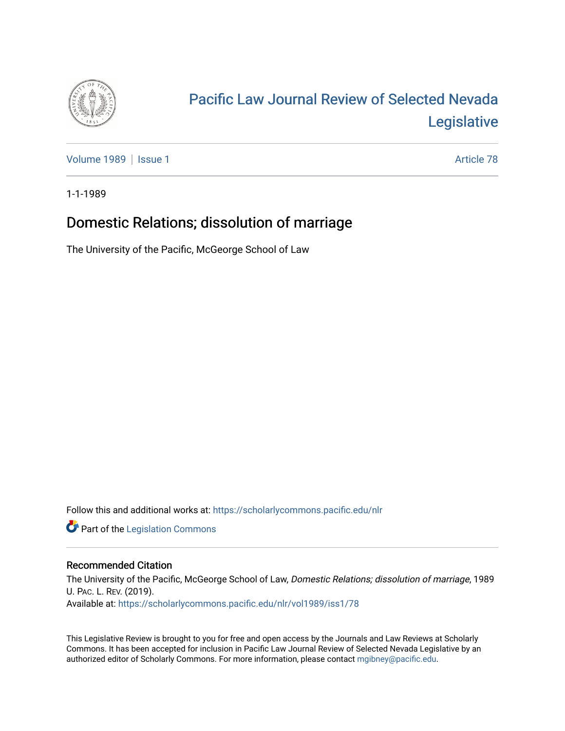

## [Pacific Law Journal Review of Selected Nevada](https://scholarlycommons.pacific.edu/nlr)  [Legislative](https://scholarlycommons.pacific.edu/nlr)

[Volume 1989](https://scholarlycommons.pacific.edu/nlr/vol1989) | [Issue 1](https://scholarlycommons.pacific.edu/nlr/vol1989/iss1) Article 78

1-1-1989

## Domestic Relations; dissolution of marriage

The University of the Pacific, McGeorge School of Law

Follow this and additional works at: [https://scholarlycommons.pacific.edu/nlr](https://scholarlycommons.pacific.edu/nlr?utm_source=scholarlycommons.pacific.edu%2Fnlr%2Fvol1989%2Fiss1%2F78&utm_medium=PDF&utm_campaign=PDFCoverPages) 

**Part of the [Legislation Commons](http://network.bepress.com/hgg/discipline/859?utm_source=scholarlycommons.pacific.edu%2Fnlr%2Fvol1989%2Fiss1%2F78&utm_medium=PDF&utm_campaign=PDFCoverPages)** 

## Recommended Citation

The University of the Pacific, McGeorge School of Law, Domestic Relations; dissolution of marriage, 1989 U. PAC. L. REV. (2019). Available at: [https://scholarlycommons.pacific.edu/nlr/vol1989/iss1/78](https://scholarlycommons.pacific.edu/nlr/vol1989/iss1/78?utm_source=scholarlycommons.pacific.edu%2Fnlr%2Fvol1989%2Fiss1%2F78&utm_medium=PDF&utm_campaign=PDFCoverPages)

This Legislative Review is brought to you for free and open access by the Journals and Law Reviews at Scholarly Commons. It has been accepted for inclusion in Pacific Law Journal Review of Selected Nevada Legislative by an authorized editor of Scholarly Commons. For more information, please contact [mgibney@pacific.edu](mailto:mgibney@pacific.edu).